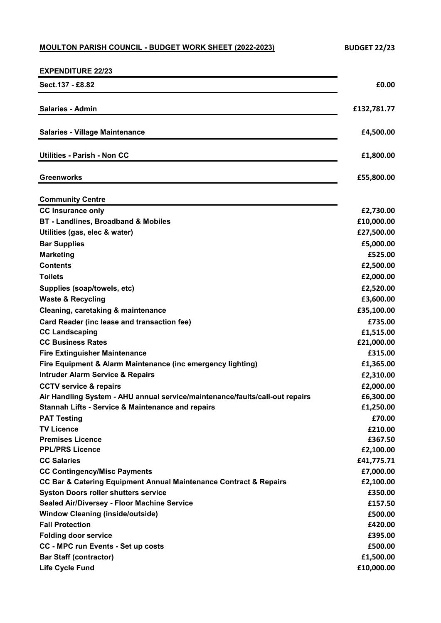## **MOULTON PARISH COUNCIL - BUDGET WORK SHEET (2022-2023)** BUDGET 22/23

| <b>EXPENDITURE 22/23</b>                                                     |                         |
|------------------------------------------------------------------------------|-------------------------|
| Sect.137 - £8.82                                                             | £0.00                   |
| <b>Salaries - Admin</b>                                                      | £132,781.77             |
| <b>Salaries - Village Maintenance</b>                                        | £4,500.00               |
| Utilities - Parish - Non CC                                                  | £1,800.00               |
|                                                                              |                         |
| <b>Greenworks</b>                                                            | £55,800.00              |
| <b>Community Centre</b>                                                      |                         |
| <b>CC Insurance only</b>                                                     | £2,730.00               |
| BT - Landlines, Broadband & Mobiles                                          | £10,000.00              |
| Utilities (gas, elec & water)                                                | £27,500.00              |
| <b>Bar Supplies</b>                                                          | £5,000.00               |
| <b>Marketing</b>                                                             | £525.00                 |
| <b>Contents</b>                                                              | £2,500.00               |
| <b>Toilets</b>                                                               | £2,000.00               |
| Supplies (soap/towels, etc)                                                  | £2,520.00               |
| <b>Waste &amp; Recycling</b>                                                 | £3,600.00               |
| Cleaning, caretaking & maintenance                                           | £35,100.00              |
| Card Reader (inc lease and transaction fee)                                  | £735.00                 |
| <b>CC Landscaping</b><br><b>CC Business Rates</b>                            | £1,515.00<br>£21,000.00 |
| <b>Fire Extinguisher Maintenance</b>                                         | £315.00                 |
| Fire Equipment & Alarm Maintenance (inc emergency lighting)                  | £1,365.00               |
| <b>Intruder Alarm Service &amp; Repairs</b>                                  | £2,310.00               |
| <b>CCTV service &amp; repairs</b>                                            | £2,000.00               |
| Air Handling System - AHU annual service/maintenance/faults/call-out repairs | £6,300.00               |
| <b>Stannah Lifts - Service &amp; Maintenance and repairs</b>                 | £1,250.00               |
| <b>PAT Testing</b>                                                           | £70.00                  |
| <b>TV Licence</b>                                                            | £210.00                 |
| <b>Premises Licence</b>                                                      | £367.50                 |
| <b>PPL/PRS Licence</b>                                                       | £2,100.00               |
| <b>CC Salaries</b>                                                           | £41,775.71              |
| <b>CC Contingency/Misc Payments</b>                                          | £7,000.00               |
| CC Bar & Catering Equipment Annual Maintenance Contract & Repairs            | £2,100.00               |
| <b>Syston Doors roller shutters service</b>                                  | £350.00                 |
| Sealed Air/Diversey - Floor Machine Service                                  | £157.50                 |
| <b>Window Cleaning (inside/outside)</b>                                      | £500.00                 |
| <b>Fall Protection</b>                                                       | £420.00                 |
| <b>Folding door service</b>                                                  | £395.00                 |
| <b>CC - MPC run Events - Set up costs</b><br><b>Bar Staff (contractor)</b>   | £500.00                 |
| <b>Life Cycle Fund</b>                                                       | £1,500.00<br>£10,000.00 |
|                                                                              |                         |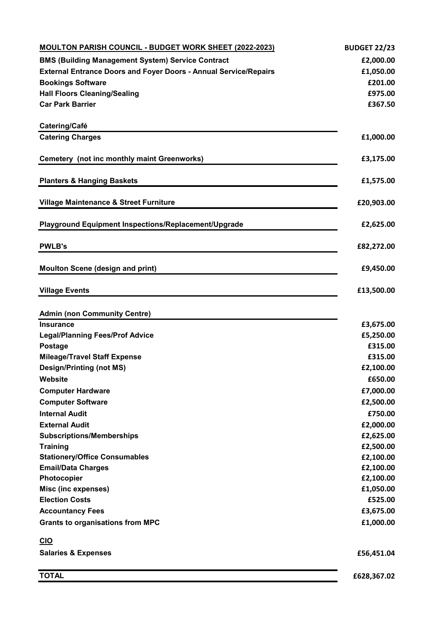| MOULTON PARISH COUNCIL - BUDGET WORK SHEET (2022-2023)                  | <b>BUDGET 22/23</b> |
|-------------------------------------------------------------------------|---------------------|
| <b>BMS (Building Management System) Service Contract</b>                | £2,000.00           |
| <b>External Entrance Doors and Foyer Doors - Annual Service/Repairs</b> | £1,050.00           |
| <b>Bookings Software</b>                                                | £201.00             |
| <b>Hall Floors Cleaning/Sealing</b>                                     | £975.00             |
| <b>Car Park Barrier</b>                                                 | £367.50             |
|                                                                         |                     |
| Catering/Café                                                           |                     |
| <b>Catering Charges</b>                                                 | £1,000.00           |
|                                                                         |                     |
| Cemetery (not inc monthly maint Greenworks)                             | £3,175.00           |
| <b>Planters &amp; Hanging Baskets</b>                                   | £1,575.00           |
| Village Maintenance & Street Furniture                                  | £20,903.00          |
|                                                                         |                     |
| Playground Equipment Inspections/Replacement/Upgrade                    | £2,625.00           |
| <b>PWLB's</b>                                                           | £82,272.00          |
| <b>Moulton Scene (design and print)</b>                                 | £9,450.00           |
|                                                                         |                     |
| <b>Village Events</b>                                                   | £13,500.00          |
|                                                                         |                     |
| <b>Admin (non Community Centre)</b>                                     |                     |
| <b>Insurance</b>                                                        | £3,675.00           |
| <b>Legal/Planning Fees/Prof Advice</b>                                  | £5,250.00           |
| Postage                                                                 | £315.00             |
| <b>Mileage/Travel Staff Expense</b>                                     | £315.00             |
| <b>Design/Printing (not MS)</b>                                         | £2,100.00           |
| Website                                                                 | £650.00             |
| <b>Computer Hardware</b>                                                | £7,000.00           |
| <b>Computer Software</b>                                                | £2,500.00           |
| <b>Internal Audit</b>                                                   | £750.00             |
| <b>External Audit</b>                                                   | £2,000.00           |
| <b>Subscriptions/Memberships</b>                                        | £2,625.00           |
| <b>Training</b>                                                         | £2,500.00           |
| <b>Stationery/Office Consumables</b>                                    | £2,100.00           |
| <b>Email/Data Charges</b>                                               | £2,100.00           |
| Photocopier                                                             | £2,100.00           |
| Misc (inc expenses)                                                     | £1,050.00           |
| <b>Election Costs</b>                                                   | £525.00             |
| <b>Accountancy Fees</b>                                                 | £3,675.00           |
| <b>Grants to organisations from MPC</b>                                 | £1,000.00           |
| <b>CIO</b>                                                              |                     |
| <b>Salaries &amp; Expenses</b>                                          | £56,451.04          |
| <b>TOTAL</b>                                                            | £628,367.02         |